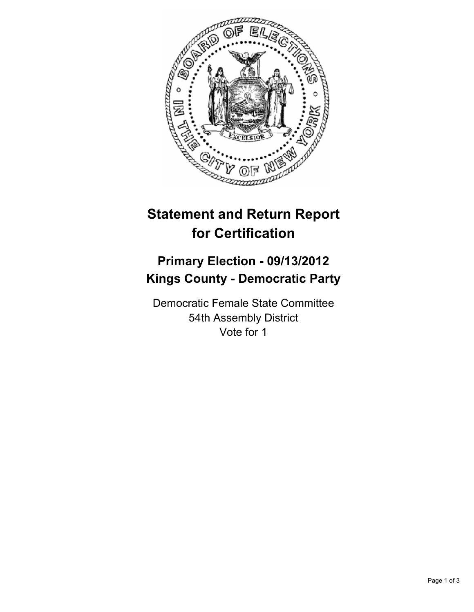

# **Statement and Return Report for Certification**

## **Primary Election - 09/13/2012 Kings County - Democratic Party**

Democratic Female State Committee 54th Assembly District Vote for 1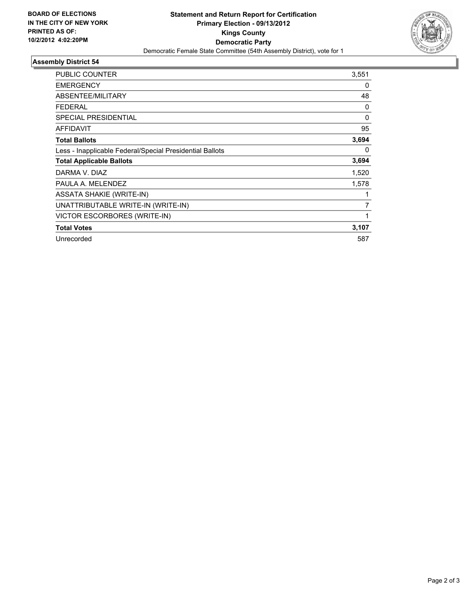

### **Assembly District 54**

| <b>PUBLIC COUNTER</b>                                    | 3,551    |
|----------------------------------------------------------|----------|
| <b>EMERGENCY</b>                                         | 0        |
| ABSENTEE/MILITARY                                        | 48       |
| <b>FEDERAL</b>                                           | 0        |
| <b>SPECIAL PRESIDENTIAL</b>                              | 0        |
| <b>AFFIDAVIT</b>                                         | 95       |
| <b>Total Ballots</b>                                     | 3,694    |
| Less - Inapplicable Federal/Special Presidential Ballots | $\Omega$ |
| <b>Total Applicable Ballots</b>                          | 3,694    |
| DARMA V. DIAZ                                            | 1,520    |
| PAULA A. MELENDEZ                                        | 1,578    |
| <b>ASSATA SHAKIE (WRITE-IN)</b>                          |          |
| UNATTRIBUTABLE WRITE-IN (WRITE-IN)                       | 7        |
| VICTOR ESCORBORES (WRITE-IN)                             | 1        |
| <b>Total Votes</b>                                       | 3,107    |
| Unrecorded                                               | 587      |